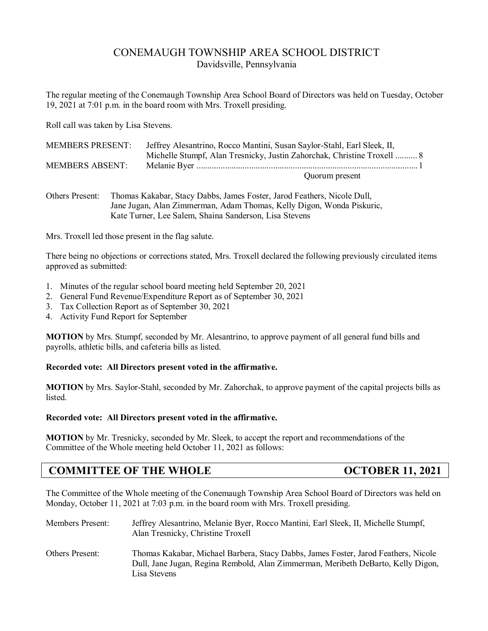# CONEMAUGH TOWNSHIP AREA SCHOOL DISTRICT Davidsville, Pennsylvania

The regular meeting of the Conemaugh Township Area School Board of Directors was held on Tuesday, October 19, 2021 at 7:01 p.m. in the board room with Mrs. Troxell presiding.

Roll call was taken by Lisa Stevens.

| <b>MEMBERS PRESENT:</b> | Jeffrey Alesantrino, Rocco Mantini, Susan Saylor-Stahl, Earl Sleek, II, |
|-------------------------|-------------------------------------------------------------------------|
|                         | Michelle Stumpf, Alan Tresnicky, Justin Zahorchak, Christine Troxell  8 |
| <b>MEMBERS ABSENT:</b>  |                                                                         |
|                         | Quorum present                                                          |

Others Present: Thomas Kakabar, Stacy Dabbs, James Foster, Jarod Feathers, Nicole Dull, Jane Jugan, Alan Zimmerman, Adam Thomas, Kelly Digon, Wonda Piskuric, Kate Turner, Lee Salem, Shaina Sanderson, Lisa Stevens

Mrs. Troxell led those present in the flag salute.

There being no objections or corrections stated, Mrs. Troxell declared the following previously circulated items approved as submitted:

- 1. Minutes of the regular school board meeting held September 20, 2021
- 2. General Fund Revenue/Expenditure Report as of September 30, 2021
- 3. Tax Collection Report as of September 30, 2021
- 4. Activity Fund Report for September

**MOTION** by Mrs. Stumpf, seconded by Mr. Alesantrino, to approve payment of all general fund bills and payrolls, athletic bills, and cafeteria bills as listed.

#### **Recorded vote: All Directors present voted in the affirmative.**

**MOTION** by Mrs. Saylor-Stahl, seconded by Mr. Zahorchak, to approve payment of the capital projects bills as listed.

#### **Recorded vote: All Directors present voted in the affirmative.**

**MOTION** by Mr. Tresnicky, seconded by Mr. Sleek, to accept the report and recommendations of the Committee of the Whole meeting held October 11, 2021 as follows:

# **COMMITTEE OF THE WHOLE COMMITTER OF THE WHOLE**

The Committee of the Whole meeting of the Conemaugh Township Area School Board of Directors was held on Monday, October 11, 2021 at 7:03 p.m. in the board room with Mrs. Troxell presiding.

| <b>Members Present:</b> | Jeffrey Alesantrino, Melanie Byer, Rocco Mantini, Earl Sleek, II, Michelle Stumpf,<br>Alan Tresnicky, Christine Troxell                                                                |
|-------------------------|----------------------------------------------------------------------------------------------------------------------------------------------------------------------------------------|
| <b>Others Present:</b>  | Thomas Kakabar, Michael Barbera, Stacy Dabbs, James Foster, Jarod Feathers, Nicole<br>Dull, Jane Jugan, Regina Rembold, Alan Zimmerman, Meribeth DeBarto, Kelly Digon,<br>Lisa Stevens |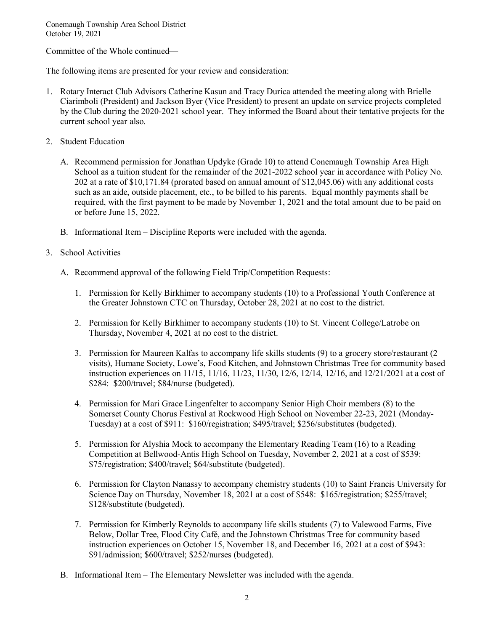Committee of the Whole continued—

The following items are presented for your review and consideration:

- 1. Rotary Interact Club Advisors Catherine Kasun and Tracy Durica attended the meeting along with Brielle Ciarimboli (President) and Jackson Byer (Vice President) to present an update on service projects completed by the Club during the 2020-2021 school year. They informed the Board about their tentative projects for the current school year also.
- 2. Student Education
	- A. Recommend permission for Jonathan Updyke (Grade 10) to attend Conemaugh Township Area High School as a tuition student for the remainder of the 2021-2022 school year in accordance with Policy No. 202 at a rate of \$10,171.84 (prorated based on annual amount of \$12,045.06) with any additional costs such as an aide, outside placement, etc., to be billed to his parents. Equal monthly payments shall be required, with the first payment to be made by November 1, 2021 and the total amount due to be paid on or before June 15, 2022.
	- B. Informational Item Discipline Reports were included with the agenda.
- 3. School Activities
	- A. Recommend approval of the following Field Trip/Competition Requests:
		- 1. Permission for Kelly Birkhimer to accompany students (10) to a Professional Youth Conference at the Greater Johnstown CTC on Thursday, October 28, 2021 at no cost to the district.
		- 2. Permission for Kelly Birkhimer to accompany students (10) to St. Vincent College/Latrobe on Thursday, November 4, 2021 at no cost to the district.
		- 3. Permission for Maureen Kalfas to accompany life skills students (9) to a grocery store/restaurant (2 visits), Humane Society, Lowe's, Food Kitchen, and Johnstown Christmas Tree for community based instruction experiences on 11/15, 11/16, 11/23, 11/30, 12/6, 12/14, 12/16, and 12/21/2021 at a cost of \$284: \$200/travel; \$84/nurse (budgeted).
		- 4. Permission for Mari Grace Lingenfelter to accompany Senior High Choir members (8) to the Somerset County Chorus Festival at Rockwood High School on November 22-23, 2021 (Monday-Tuesday) at a cost of \$911: \$160/registration; \$495/travel; \$256/substitutes (budgeted).
		- 5. Permission for Alyshia Mock to accompany the Elementary Reading Team (16) to a Reading Competition at Bellwood-Antis High School on Tuesday, November 2, 2021 at a cost of \$539: \$75/registration; \$400/travel; \$64/substitute (budgeted).
		- 6. Permission for Clayton Nanassy to accompany chemistry students (10) to Saint Francis University for Science Day on Thursday, November 18, 2021 at a cost of \$548: \$165/registration; \$255/travel; \$128/substitute (budgeted).
		- 7. Permission for Kimberly Reynolds to accompany life skills students (7) to Valewood Farms, Five Below, Dollar Tree, Flood City Café, and the Johnstown Christmas Tree for community based instruction experiences on October 15, November 18, and December 16, 2021 at a cost of \$943: \$91/admission; \$600/travel; \$252/nurses (budgeted).
	- B. Informational Item The Elementary Newsletter was included with the agenda.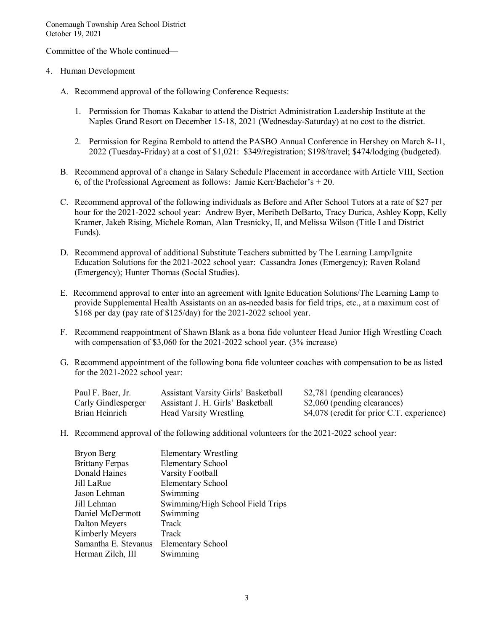Committee of the Whole continued—

- 4. Human Development
	- A. Recommend approval of the following Conference Requests:
		- 1. Permission for Thomas Kakabar to attend the District Administration Leadership Institute at the Naples Grand Resort on December 15-18, 2021 (Wednesday-Saturday) at no cost to the district.
		- 2. Permission for Regina Rembold to attend the PASBO Annual Conference in Hershey on March 8-11, 2022 (Tuesday-Friday) at a cost of \$1,021: \$349/registration; \$198/travel; \$474/lodging (budgeted).
	- B. Recommend approval of a change in Salary Schedule Placement in accordance with Article VIII, Section 6, of the Professional Agreement as follows: Jamie Kerr/Bachelor's  $+20$ .
	- C. Recommend approval of the following individuals as Before and After School Tutors at a rate of \$27 per hour for the 2021-2022 school year: Andrew Byer, Meribeth DeBarto, Tracy Durica, Ashley Kopp, Kelly Kramer, Jakeb Rising, Michele Roman, Alan Tresnicky, II, and Melissa Wilson (Title I and District Funds).
	- D. Recommend approval of additional Substitute Teachers submitted by The Learning Lamp/Ignite Education Solutions for the 2021-2022 school year: Cassandra Jones (Emergency); Raven Roland (Emergency); Hunter Thomas (Social Studies).
	- E. Recommend approval to enter into an agreement with Ignite Education Solutions/The Learning Lamp to provide Supplemental Health Assistants on an as-needed basis for field trips, etc., at a maximum cost of \$168 per day (pay rate of \$125/day) for the 2021-2022 school year.
	- F. Recommend reappointment of Shawn Blank as a bona fide volunteer Head Junior High Wrestling Coach with compensation of \$3,060 for the 2021-2022 school year. (3% increase)
	- G. Recommend appointment of the following bona fide volunteer coaches with compensation to be as listed for the 2021-2022 school year:

| Paul F. Baer, Jr.   | <b>Assistant Varsity Girls' Basketball</b> | \$2,781 (pending clearances)               |
|---------------------|--------------------------------------------|--------------------------------------------|
| Carly Gindlesperger | Assistant J. H. Girls' Basketball          | \$2,060 (pending clearances)               |
| Brian Heinrich      | <b>Head Varsity Wrestling</b>              | \$4,078 (credit for prior C.T. experience) |

H. Recommend approval of the following additional volunteers for the 2021-2022 school year:

| Bryon Berg             | <b>Elementary Wrestling</b>      |
|------------------------|----------------------------------|
| <b>Brittany Ferpas</b> | <b>Elementary School</b>         |
| Donald Haines          | Varsity Football                 |
| Jill LaRue             | <b>Elementary School</b>         |
| Jason Lehman           | Swimming                         |
| Jill Lehman            | Swimming/High School Field Trips |
| Daniel McDermott       | Swimming                         |
| Dalton Meyers          | Track                            |
| Kimberly Meyers        | Track                            |
| Samantha E. Stevanus   | <b>Elementary School</b>         |
| Herman Zilch, III      | Swimming                         |
|                        |                                  |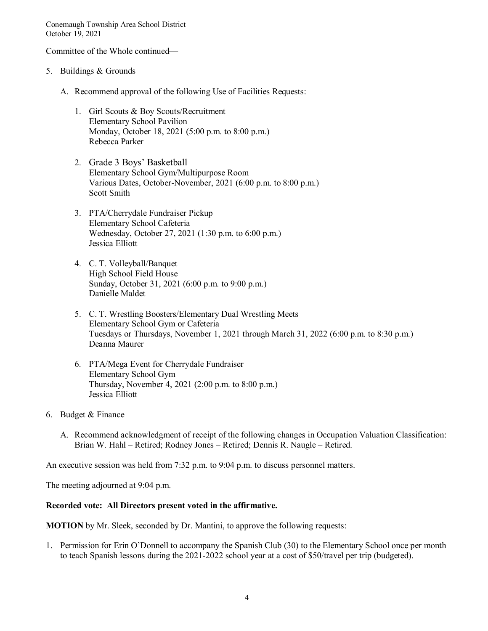Committee of the Whole continued—

- 5. Buildings & Grounds
	- A. Recommend approval of the following Use of Facilities Requests:
		- 1. Girl Scouts & Boy Scouts/Recruitment Elementary School Pavilion Monday, October 18, 2021 (5:00 p.m. to 8:00 p.m.) Rebecca Parker
		- 2. Grade 3 Boys' Basketball Elementary School Gym/Multipurpose Room Various Dates, October-November, 2021 (6:00 p.m. to 8:00 p.m.) Scott Smith
		- 3. PTA/Cherrydale Fundraiser Pickup Elementary School Cafeteria Wednesday, October 27, 2021 (1:30 p.m. to 6:00 p.m.) Jessica Elliott
		- 4. C. T. Volleyball/Banquet High School Field House Sunday, October 31, 2021 (6:00 p.m. to 9:00 p.m.) Danielle Maldet
		- 5. C. T. Wrestling Boosters/Elementary Dual Wrestling Meets Elementary School Gym or Cafeteria Tuesdays or Thursdays, November 1, 2021 through March 31, 2022 (6:00 p.m. to 8:30 p.m.) Deanna Maurer
		- 6. PTA/Mega Event for Cherrydale Fundraiser Elementary School Gym Thursday, November 4, 2021 (2:00 p.m. to 8:00 p.m.) Jessica Elliott
- 6. Budget & Finance
	- A. Recommend acknowledgment of receipt of the following changes in Occupation Valuation Classification: Brian W. Hahl – Retired; Rodney Jones – Retired; Dennis R. Naugle – Retired.

An executive session was held from 7:32 p.m. to 9:04 p.m. to discuss personnel matters.

The meeting adjourned at 9:04 p.m.

#### **Recorded vote: All Directors present voted in the affirmative.**

**MOTION** by Mr. Sleek, seconded by Dr. Mantini, to approve the following requests:

1. Permission for Erin O'Donnell to accompany the Spanish Club (30) to the Elementary School once per month to teach Spanish lessons during the 2021-2022 school year at a cost of \$50/travel per trip (budgeted).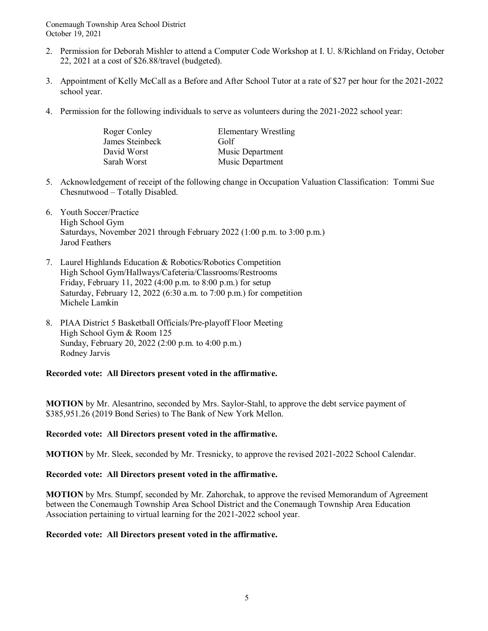- 2. Permission for Deborah Mishler to attend a Computer Code Workshop at I. U. 8/Richland on Friday, October 22, 2021 at a cost of \$26.88/travel (budgeted).
- 3. Appointment of Kelly McCall as a Before and After School Tutor at a rate of \$27 per hour for the 2021-2022 school year.
- 4. Permission for the following individuals to serve as volunteers during the 2021-2022 school year:

| Roger Conley    | <b>Elementary Wrestling</b> |
|-----------------|-----------------------------|
| James Steinbeck | Golf                        |
| David Worst     | Music Department            |
| Sarah Worst     | Music Department            |

- 5. Acknowledgement of receipt of the following change in Occupation Valuation Classification: Tommi Sue Chesnutwood – Totally Disabled.
- 6. Youth Soccer/Practice High School Gym Saturdays, November 2021 through February 2022 (1:00 p.m. to 3:00 p.m.) Jarod Feathers
- 7. Laurel Highlands Education & Robotics/Robotics Competition High School Gym/Hallways/Cafeteria/Classrooms/Restrooms Friday, February 11, 2022 (4:00 p.m. to 8:00 p.m.) for setup Saturday, February 12, 2022 (6:30 a.m. to 7:00 p.m.) for competition Michele Lamkin
- 8. PIAA District 5 Basketball Officials/Pre-playoff Floor Meeting High School Gym & Room 125 Sunday, February 20, 2022 (2:00 p.m. to 4:00 p.m.) Rodney Jarvis

**Recorded vote: All Directors present voted in the affirmative.**

**MOTION** by Mr. Alesantrino, seconded by Mrs. Saylor-Stahl, to approve the debt service payment of \$385,951.26 (2019 Bond Series) to The Bank of New York Mellon.

## **Recorded vote: All Directors present voted in the affirmative.**

**MOTION** by Mr. Sleek, seconded by Mr. Tresnicky, to approve the revised 2021-2022 School Calendar.

## **Recorded vote: All Directors present voted in the affirmative.**

**MOTION** by Mrs. Stumpf, seconded by Mr. Zahorchak, to approve the revised Memorandum of Agreement between the Conemaugh Township Area School District and the Conemaugh Township Area Education Association pertaining to virtual learning for the 2021-2022 school year.

## **Recorded vote: All Directors present voted in the affirmative.**